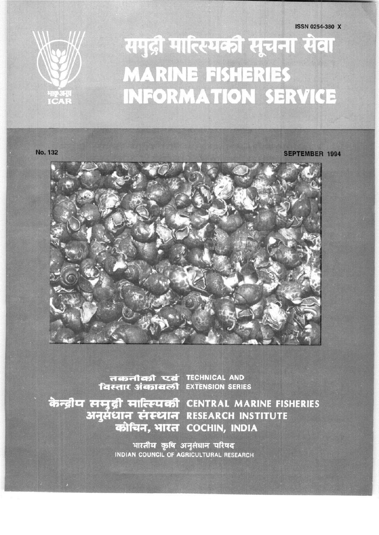

# समुद्री मात्स्यिकी सूचना सेवा **MARINE FISHERIES INFORMATION SERVICE**

No. 132

**SEPTEMBER 1994** 



तकनीकी एवं TECHNICAL AND<br>विस्तार अंकावली EXTENSION SERIES

केन्द्रीय समुद्री मात्स्यिकी CENTRAL MARINE FISHERIES अनुसंधान संस्थान RESEARCH INSTITUTE कोचिन, भारत COCHIN, INDIA

> भारतीय कृषि अनुसंधान परिषद INDIAN COUNCIL OF AGRICULTURAL RESEARCH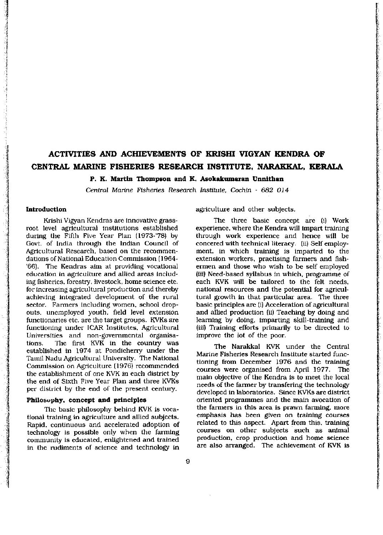# **ACTIVITIES AND ACHIEVEMENTS OF KRISHI VIGYAN KENDRA OF CENTRAL MARINE FISHERIES RESEARCH INSTITUTE, NARAKKAL, KERALA**

**P. K. Martin Thompson and K. Asokakumaran Unnithan** 

Central *Marine Fisheries Research Institute, Cochin - 682 014* 

# **Introduction**

Krishi Vigyan Kendras are innovative grassroot level agricultural institutions established during the Fifth Five Year Plan (1973-'78) by Govt, of India through the Indian Council of Agricultural Research, based on the recommendations of National Education Commission (1964- '66). The Kendras aim at providing vocational education in agriculture and allied areas including fisheries, forestry, livestock, home science etc. for increasing agricultural production and thereby achieving integrated development of the rural sector. Farmers including women, school dropouts, unemployed youth, field level extension functionaries etc. are the target groups. KVKs are functioning under ICAR Institutes, Agricultural Universities and non-governmental organisations. The first KVK in the country was established in 1974 at Pondicherry under the Tamil Nadu Agricultural University. The National Commission on Agriculture (1976) recommended the establishment of one KVK in each district by the end of Sixth Five Year Plan and three KVKs per district by the end of the present century.

## **Philosophy, concept and principles**

The basic philosophy behind KVK is vocational training in agriculture and allied subjects. Rapid, continuous and accelerated adoption of technology is possible only when the farming community is educated, enlightened and trained in the rudiments of science and technology in agriculture and other subjects.

The three basic concept are (i) Work experience, where the Kendra will impart training through work experience and hence will be concered with technical literacy, (ii) Self employment, in which training is imparted to the extension workers, practising farmers and fishermen and those who wish to be self employed (iii) Need-based syllabus in which, programme of each KVK will be tailored to the felt needs, national resources and the potential for agricultural growth in that particular area. The three basic principles are (i) Acceleration of agricultural and allied production (ii) Teaching by doing and learning by doing, imparting skill-training and (iii) Training efforts primarily to be directed to improve the lot of the poor.

The Narakkal KVK under the Central Marine Fisheries Research Institute started functioning from December 1976 and the training courses were organised from April 1977. The main objective of the Kendra is to meet the local needs of the farmer by transfering the technology developed in laboratories. Since KVKs are district oriented programmes and the main avocation of the farmers in this area is prawn farming, more emphasis has been given on training courses related to this aspect. Apart from this, training courses on other subjects such as animal production, crop production and home science are also arranged. The achievement of KVK is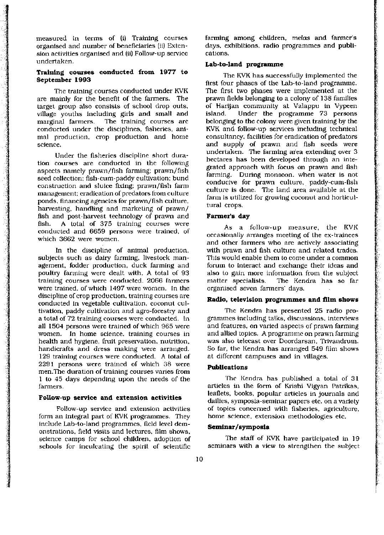measured in terms of (i) Training courses organised and number of beneficiaries (ii) Extension activities organised and (ii) Follow-up service undertaken.

# **Training courses conducted from 1977 to September 1993**

The training courses conducted under KVK are mainly for the benefit of the farmers. The target group also consists of school drop outs, village youths including girls and small and marginal farmers. The training courses are conducted under the disciplines, fisheries, animal production, crop production and home science.

Under the fisheries discipline short duration courses are conducted in the following aspects namely prawn/fish farming; prawn/fish seed collection; fish-cum-paddy cultivation; bund construction and sluice fixing; prawn/fish farm management; eradication of predators from culture ponds, financing agencies for prawn/fish culture, harvesting, handling and marketing of prawn/ fish and post-harvest technology of prawn and fish. A total of 375 training courses were conducted and 6659 persons were trained, of which 3662 were women.

In the discipline of animal production, subjects such as dairy farming, livestock management, fodder production, duck farming and poultry farming were dealt with. A total of 93 training courses were conducted. 2066 farmers were trained, of which 1497 were women. In the discipline of crop production, training courses are conducted in vegetable cultivation, coconut cultivation, paddy cultivation and agro-forestry and a total of 72 training courses were conducted. In all 1504 persons were trained of which 965 were women. In home science, training courses in health and hygiene, fruit preservation, nutrition, handicrafts and dress making were arranged. 129 training courses were conducted. A total of 2291 persons were trained of which 38 were men.The duration of training courses varies from 1 to 45 days depending upon the needs of the farmers.

#### **Follow-up service and extension activities**

Follow-up service and extension activities form an integral part of KVK programmes. They include Lab-to-land programmes, field level demonstrations, field visits and lectures, film shows, science camps for school children, adoption of schools for inculcating the spirit of scientific

farming among children, *melas* and farmer's days, exhibitions, radio programmes and publications.

#### **Lab-to-land programme**

The KVK has successfully implemented the first four phases of the Lab-to-land programme. The first two phases were implemented at the prawn fields belonging to a colony of 138 families of Harijan community at Valappu in Vypeen island. Under the programme 73 persons belonging to the colony were given training by the KVK and follow-up services including technical consultancy, facilities for eradication of predators and supply of prawn and fish seeds were undertaken. The farming area extending over 3 hectares has been developed through an integrated approach with focus on prawn and fish farming. During monsoon, when water is not conducive for prawn culture, paddy-cum-fish culture is done. The land area available at the farm is utilized for growing coconut and horticultural crops.

#### **Farmer's day**

As a follow-up measure, the KVK occasionally arranges meeting of the ex-trainees and other farmers who are actively associating with prawn and fish culture and related trades. This would enable them to come under a common forum to interact and exchange their ideas and also to gain more information from the subject matter specialists. The Kendra has so far organised seven farmers' days.

#### **Radio, television programmes and film shows**

The Kendra has presented 25 radio programmes including talks, discussions, interviews and features, on varied aspects of prawn farming and allied topics. A programme on prawn farming was also telecast over Doordarsan, Trivandrum. So far, the Kendra has arranged 549 film shows at different campuses and in villages.

#### **Publications**

The Kendra has published a total of 31 articles in the form of Krishi Vigyan Patrikas, leaflets, books, popular articles in journals and dailies, symposia-seminar papers etc. on a variety of topics concerned with fisheries, agriculture, home science, extension methodologies etc.

#### **Seminar/symposia**

The staff of KVK have participated in 19 seminars with a view to strengthen the subject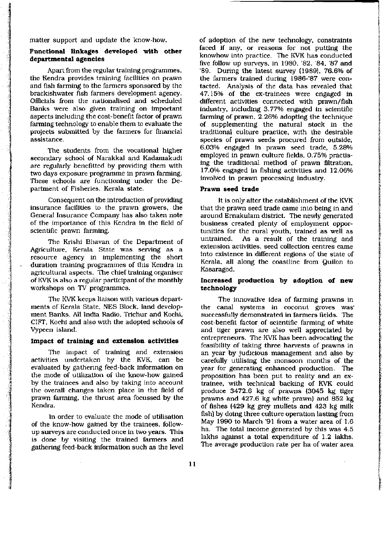matter support and update the know-how.

# **Functional linkages developed with other departmental agencies**

Apart from the regular training programmes, the Kendra provides training facilities on prawn and fish farming to the farmers sponsored by the brackishwater fish farmers development agency. Officials from the nationalised and scheduled Banks were also given training on important aspects including the cost-benefit factor of prawn farming technology to enable them to evaluate the projects submitted by the farmers for financial assistance.

The students from the vocational higher secondary school of Narakkal and Kadamakudi are regularly benefitted by providing them with two days exposure programme in prawn farming. These schools are functioning under the Department of Fisheries, Kerala state.

Consequent on the introduction of providing insurance facilities to the prawn growers, the General Insurance Company has also taken note of the importance of this Kendra in the field of scientific prawn farming.

The Krishi Bhavan of the Department of Agriculture, Kerala State was serving as a resource agency in implementing the short duration training programmes of this Kendra in agricultural aspects. The chief training organiser of KVK is also a regular participant of the monthly workshops on TV programmes.

The KVK keeps liaison with various departments of Kerala State, NES Block, land development Banks, All India Radio, Trichur and Kochi, CIFT, Kochi and also with the adopted schools of Vypeen island.

## **Impact of training and extension activities**

The impact of training and extension activities undertaken by the KVK, can be evaluated by gathering feed-back information on the mode of utilization of the know-how gained by the trainees and also by taking into account the overall changes taken place in the field of prawn farming, the thrust area focussed by the Kendra.

In order to evaluate the mode of utilisation of the know-how gained by the trainees, followup surveys are conducted once in two years. This is done by visiting the trained farmers and gathering feed-back information such as the level

of adoption of the new technology, constraints faced if any, or reasons for not putting the knowhow into practice. The KVK has conducted five follow up surveys, in 1980, '82, '84, '87 and '89. During the latest survey (1989), 76.6% of the farmers trained during 1986-'87 were contacted. Analysis of the data has revealed that 47.15% of the ex-trainees were engaged in different activities connected with prawn/fish industry, including 3.77% engaged in scientific farming of prawn, 2.26% adopting the technique of supplementing the natural stock in the traditional culture practice, with the desirable species of prawn seeds procured from outside, 6.03% engaged in prawn seed trade, 5.28% employed in prawn culture fields, 0.75% practising the traditional method of prawn filtration, 17.0% engaged in fishing activities and 12.06% involved in prawn processing industry.

#### **Prawn seed trade**

It is only after the establishment of the KVK that the prawn seed trade came into being in and around Ernakulam district. The newly generated business created plenty of employment opportunities for the rural youth, trained as well as untrained. As a result of the training and extension activities, seed collection centres came into existence in different regions of the state of Kerala, all along the coastline from Quilon to Kasaragod.

# **Increased production by adoption of new technology**

The innovative idea of farming prawns in the canal systems in coconut groves was successfully demonstrated in farmers fields. The cost-benefit factor of scientific farming of white and tiger prawn are also well appreciated by entrepreneurs. The KVK has been advocating the feasibility of taking three harvests of prawns in an year by judicious management and also by carefully utilising the monsoon months of the year for generating enhanced production. The proposition has been put to reality and an extrainee, with technical backing of KVK could produce 3472.6 kg of prawns (3045 kg tiger prawns and 427.6 kg white prawn) and 852 kg of fishes (429 kg grey mullets and 423 kg milk fish) by doing three culture operation lasting from May 1990 to March '91 from a water area of 1.6 ha. The total income generated by this was 4.5 lakhs against a total expenditure of 1.2 lakhs. The average production rate per ha of water area